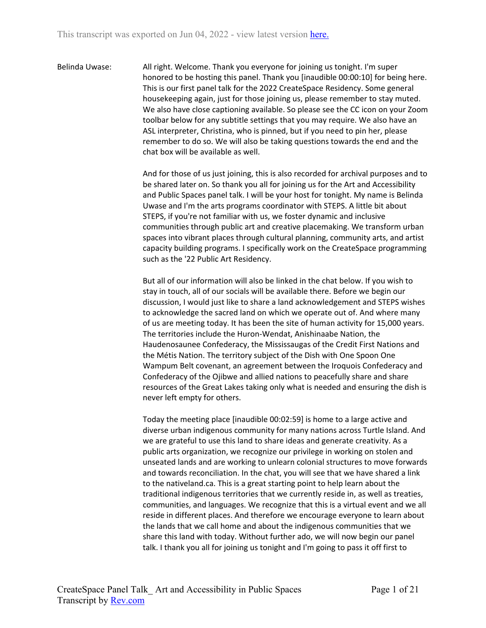Belinda Uwase: All right. Welcome. Thank you everyone for joining us tonight. I'm super honored to be hosting this panel. Thank you [inaudible 00:00:10] for being here. This is our first panel talk for the 2022 CreateSpace Residency. Some general housekeeping again, just for those joining us, please remember to stay muted. We also have close captioning available. So please see the CC icon on your Zoom toolbar below for any subtitle settings that you may require. We also have an ASL interpreter, Christina, who is pinned, but if you need to pin her, please remember to do so. We will also be taking questions towards the end and the chat box will be available as well.

> And for those of us just joining, this is also recorded for archival purposes and to be shared later on. So thank you all for joining us for the Art and Accessibility and Public Spaces panel talk. I will be your host for tonight. My name is Belinda Uwase and I'm the arts programs coordinator with STEPS. A little bit about STEPS, if you're not familiar with us, we foster dynamic and inclusive communities through public art and creative placemaking. We transform urban spaces into vibrant places through cultural planning, community arts, and artist capacity building programs. I specifically work on the CreateSpace programming such as the '22 Public Art Residency.

> But all of our information will also be linked in the chat below. If you wish to stay in touch, all of our socials will be available there. Before we begin our discussion, I would just like to share a land acknowledgement and STEPS wishes to acknowledge the sacred land on which we operate out of. And where many of us are meeting today. It has been the site of human activity for 15,000 years. The territories include the Huron-Wendat, Anishinaabe Nation, the Haudenosaunee Confederacy, the Mississaugas of the Credit First Nations and the Métis Nation. The territory subject of the Dish with One Spoon One Wampum Belt covenant, an agreement between the Iroquois Confederacy and Confederacy of the Ojibwe and allied nations to peacefully share and share resources of the Great Lakes taking only what is needed and ensuring the dish is never left empty for others.

> Today the meeting place [inaudible 00:02:59] is home to a large active and diverse urban indigenous community for many nations across Turtle Island. And we are grateful to use this land to share ideas and generate creativity. As a public arts organization, we recognize our privilege in working on stolen and unseated lands and are working to unlearn colonial structures to move forwards and towards reconciliation. In the chat, you will see that we have shared a link to the nativeland.ca. This is a great starting point to help learn about the traditional indigenous territories that we currently reside in, as well as treaties, communities, and languages. We recognize that this is a virtual event and we all reside in different places. And therefore we encourage everyone to learn about the lands that we call home and about the indigenous communities that we share this land with today. Without further ado, we will now begin our panel talk. I thank you all for joining us tonight and I'm going to pass it off first to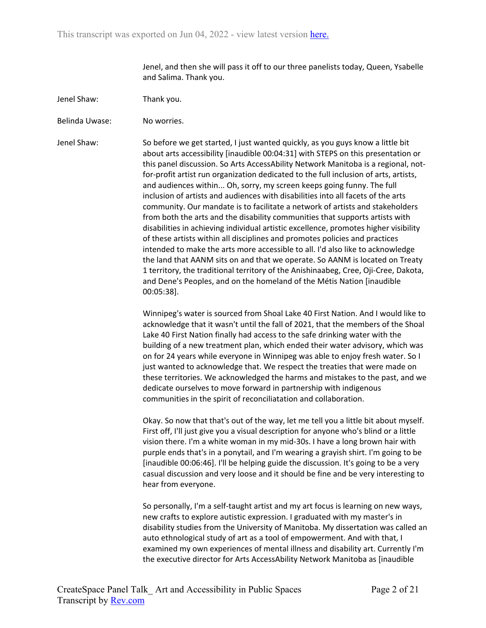Jenel, and then she will pass it off to our three panelists today, Queen, Ysabelle and Salima. Thank you.

- Jenel Shaw: Thank you.
- Belinda Uwase: No worries.

Jenel Shaw: So before we get started, I just wanted quickly, as you guys know a little bit about arts accessibility [inaudible 00:04:31] with STEPS on this presentation or this panel discussion. So Arts AccessAbility Network Manitoba is a regional, notfor-profit artist run organization dedicated to the full inclusion of arts, artists, and audiences within... Oh, sorry, my screen keeps going funny. The full inclusion of artists and audiences with disabilities into all facets of the arts community. Our mandate is to facilitate a network of artists and stakeholders from both the arts and the disability communities that supports artists with disabilities in achieving individual artistic excellence, promotes higher visibility of these artists within all disciplines and promotes policies and practices intended to make the arts more accessible to all. I'd also like to acknowledge the land that AANM sits on and that we operate. So AANM is located on Treaty 1 territory, the traditional territory of the Anishinaabeg, Cree, Oji-Cree, Dakota, and Dene's Peoples, and on the homeland of the Métis Nation [inaudible 00:05:38].

> Winnipeg's water is sourced from Shoal Lake 40 First Nation. And I would like to acknowledge that it wasn't until the fall of 2021, that the members of the Shoal Lake 40 First Nation finally had access to the safe drinking water with the building of a new treatment plan, which ended their water advisory, which was on for 24 years while everyone in Winnipeg was able to enjoy fresh water. So I just wanted to acknowledge that. We respect the treaties that were made on these territories. We acknowledged the harms and mistakes to the past, and we dedicate ourselves to move forward in partnership with indigenous communities in the spirit of reconciliatation and collaboration.

> Okay. So now that that's out of the way, let me tell you a little bit about myself. First off, I'll just give you a visual description for anyone who's blind or a little vision there. I'm a white woman in my mid-30s. I have a long brown hair with purple ends that's in a ponytail, and I'm wearing a grayish shirt. I'm going to be [inaudible 00:06:46]. I'll be helping guide the discussion. It's going to be a very casual discussion and very loose and it should be fine and be very interesting to hear from everyone.

> So personally, I'm a self-taught artist and my art focus is learning on new ways, new crafts to explore autistic expression. I graduated with my master's in disability studies from the University of Manitoba. My dissertation was called an auto ethnological study of art as a tool of empowerment. And with that, I examined my own experiences of mental illness and disability art. Currently I'm the executive director for Arts AccessAbility Network Manitoba as [inaudible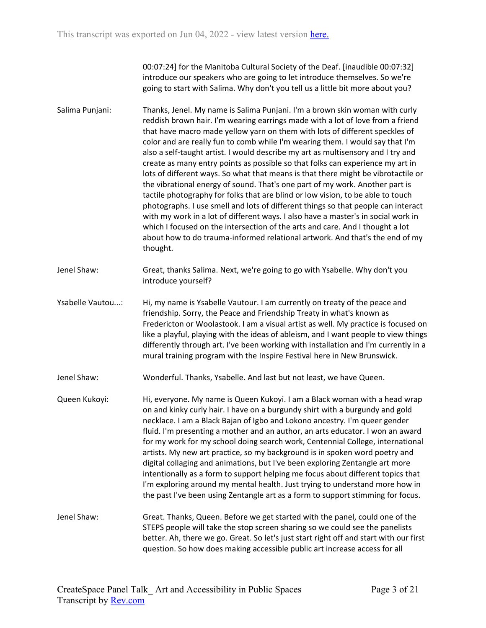00:07:24] for the Manitoba Cultural Society of the Deaf. [inaudible 00:07:32] introduce our speakers who are going to let introduce themselves. So we're going to start with Salima. Why don't you tell us a little bit more about you?

- Salima Punjani: Thanks, Jenel. My name is Salima Punjani. I'm a brown skin woman with curly reddish brown hair. I'm wearing earrings made with a lot of love from a friend that have macro made yellow yarn on them with lots of different speckles of color and are really fun to comb while I'm wearing them. I would say that I'm also a self-taught artist. I would describe my art as multisensory and I try and create as many entry points as possible so that folks can experience my art in lots of different ways. So what that means is that there might be vibrotactile or the vibrational energy of sound. That's one part of my work. Another part is tactile photography for folks that are blind or low vision, to be able to touch photographs. I use smell and lots of different things so that people can interact with my work in a lot of different ways. I also have a master's in social work in which I focused on the intersection of the arts and care. And I thought a lot about how to do trauma-informed relational artwork. And that's the end of my thought.
- Jenel Shaw: Great, thanks Salima. Next, we're going to go with Ysabelle. Why don't you introduce yourself?
- Ysabelle Vautou...: Hi, my name is Ysabelle Vautour. I am currently on treaty of the peace and friendship. Sorry, the Peace and Friendship Treaty in what's known as Fredericton or Woolastook. I am a visual artist as well. My practice is focused on like a playful, playing with the ideas of ableism, and I want people to view things differently through art. I've been working with installation and I'm currently in a mural training program with the Inspire Festival here in New Brunswick.
- Jenel Shaw: Wonderful. Thanks, Ysabelle. And last but not least, we have Queen.
- Queen Kukoyi: Hi, everyone. My name is Queen Kukoyi. I am a Black woman with a head wrap on and kinky curly hair. I have on a burgundy shirt with a burgundy and gold necklace. I am a Black Bajan of Igbo and Lokono ancestry. I'm queer gender fluid. I'm presenting a mother and an author, an arts educator. I won an award for my work for my school doing search work, Centennial College, international artists. My new art practice, so my background is in spoken word poetry and digital collaging and animations, but I've been exploring Zentangle art more intentionally as a form to support helping me focus about different topics that I'm exploring around my mental health. Just trying to understand more how in the past I've been using Zentangle art as a form to support stimming for focus.
- Jenel Shaw: Great. Thanks, Queen. Before we get started with the panel, could one of the STEPS people will take the stop screen sharing so we could see the panelists better. Ah, there we go. Great. So let's just start right off and start with our first question. So how does making accessible public art increase access for all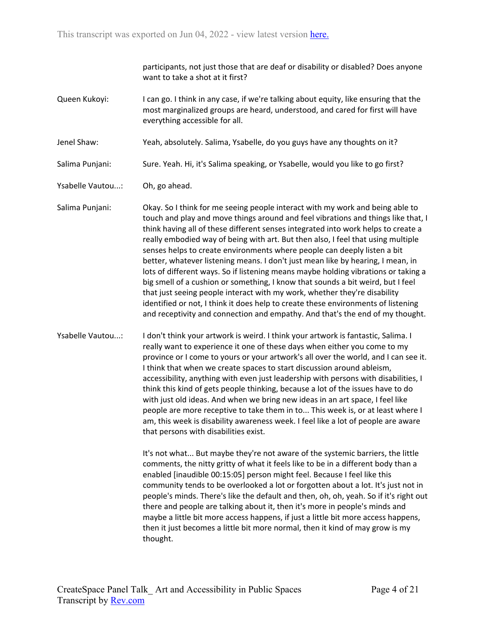participants, not just those that are deaf or disability or disabled? Does anyone want to take a shot at it first?

- Queen Kukoyi: I can go. I think in any case, if we're talking about equity, like ensuring that the most marginalized groups are heard, understood, and cared for first will have everything accessible for all.
- Jenel Shaw: Yeah, absolutely. Salima, Ysabelle, do you guys have any thoughts on it?

Salima Punjani: Sure. Yeah. Hi, it's Salima speaking, or Ysabelle, would you like to go first?

Ysabelle Vautou...: Oh, go ahead.

Salima Punjani: Okay. So I think for me seeing people interact with my work and being able to touch and play and move things around and feel vibrations and things like that, I think having all of these different senses integrated into work helps to create a really embodied way of being with art. But then also, I feel that using multiple senses helps to create environments where people can deeply listen a bit better, whatever listening means. I don't just mean like by hearing, I mean, in lots of different ways. So if listening means maybe holding vibrations or taking a big smell of a cushion or something, I know that sounds a bit weird, but I feel that just seeing people interact with my work, whether they're disability identified or not, I think it does help to create these environments of listening and receptivity and connection and empathy. And that's the end of my thought.

Ysabelle Vautou...: I don't think your artwork is weird. I think your artwork is fantastic, Salima. I really want to experience it one of these days when either you come to my province or I come to yours or your artwork's all over the world, and I can see it. I think that when we create spaces to start discussion around ableism, accessibility, anything with even just leadership with persons with disabilities, I think this kind of gets people thinking, because a lot of the issues have to do with just old ideas. And when we bring new ideas in an art space, I feel like people are more receptive to take them in to... This week is, or at least where I am, this week is disability awareness week. I feel like a lot of people are aware that persons with disabilities exist.

> It's not what... But maybe they're not aware of the systemic barriers, the little comments, the nitty gritty of what it feels like to be in a different body than a enabled [inaudible 00:15:05] person might feel. Because I feel like this community tends to be overlooked a lot or forgotten about a lot. It's just not in people's minds. There's like the default and then, oh, oh, yeah. So if it's right out there and people are talking about it, then it's more in people's minds and maybe a little bit more access happens, if just a little bit more access happens, then it just becomes a little bit more normal, then it kind of may grow is my thought.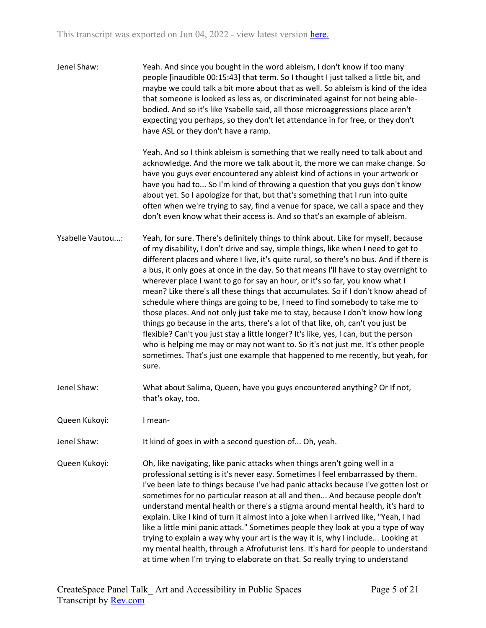| Jenel Shaw:      | Yeah. And since you bought in the word ableism, I don't know if too many<br>people [inaudible 00:15:43] that term. So I thought I just talked a little bit, and<br>maybe we could talk a bit more about that as well. So ableism is kind of the idea<br>that someone is looked as less as, or discriminated against for not being able-<br>bodied. And so it's like Ysabelle said, all those microaggressions place aren't<br>expecting you perhaps, so they don't let attendance in for free, or they don't<br>have ASL or they don't have a ramp.                                                                                                                                                                                                                                                                                                                                                                                                                                                                                                           |
|------------------|---------------------------------------------------------------------------------------------------------------------------------------------------------------------------------------------------------------------------------------------------------------------------------------------------------------------------------------------------------------------------------------------------------------------------------------------------------------------------------------------------------------------------------------------------------------------------------------------------------------------------------------------------------------------------------------------------------------------------------------------------------------------------------------------------------------------------------------------------------------------------------------------------------------------------------------------------------------------------------------------------------------------------------------------------------------|
|                  | Yeah. And so I think ableism is something that we really need to talk about and<br>acknowledge. And the more we talk about it, the more we can make change. So<br>have you guys ever encountered any ableist kind of actions in your artwork or<br>have you had to So I'm kind of throwing a question that you guys don't know<br>about yet. So I apologize for that, but that's something that I run into quite<br>often when we're trying to say, find a venue for space, we call a space and they<br>don't even know what their access is. And so that's an example of ableism.                                                                                                                                                                                                                                                                                                                                                                                                                                                                            |
| Ysabelle Vautou: | Yeah, for sure. There's definitely things to think about. Like for myself, because<br>of my disability, I don't drive and say, simple things, like when I need to get to<br>different places and where I live, it's quite rural, so there's no bus. And if there is<br>a bus, it only goes at once in the day. So that means I'll have to stay overnight to<br>wherever place I want to go for say an hour, or it's so far, you know what I<br>mean? Like there's all these things that accumulates. So if I don't know ahead of<br>schedule where things are going to be, I need to find somebody to take me to<br>those places. And not only just take me to stay, because I don't know how long<br>things go because in the arts, there's a lot of that like, oh, can't you just be<br>flexible? Can't you just stay a little longer? It's like, yes, I can, but the person<br>who is helping me may or may not want to. So it's not just me. It's other people<br>sometimes. That's just one example that happened to me recently, but yeah, for<br>sure. |
| Jenel Shaw:      | What about Salima, Queen, have you guys encountered anything? Or If not,<br>that's okay, too.                                                                                                                                                                                                                                                                                                                                                                                                                                                                                                                                                                                                                                                                                                                                                                                                                                                                                                                                                                 |
| Queen Kukoyi:    | I mean-                                                                                                                                                                                                                                                                                                                                                                                                                                                                                                                                                                                                                                                                                                                                                                                                                                                                                                                                                                                                                                                       |
| Jenel Shaw:      | It kind of goes in with a second question of Oh, yeah.                                                                                                                                                                                                                                                                                                                                                                                                                                                                                                                                                                                                                                                                                                                                                                                                                                                                                                                                                                                                        |
| Queen Kukoyi:    | Oh, like navigating, like panic attacks when things aren't going well in a<br>professional setting is it's never easy. Sometimes I feel embarrassed by them.<br>I've been late to things because I've had panic attacks because I've gotten lost or<br>sometimes for no particular reason at all and then And because people don't<br>understand mental health or there's a stigma around mental health, it's hard to<br>explain. Like I kind of turn it almost into a joke when I arrived like, "Yeah, I had<br>like a little mini panic attack." Sometimes people they look at you a type of way<br>trying to explain a way why your art is the way it is, why I include Looking at<br>my mental health, through a Afrofuturist lens. It's hard for people to understand<br>at time when I'm trying to elaborate on that. So really trying to understand                                                                                                                                                                                                    |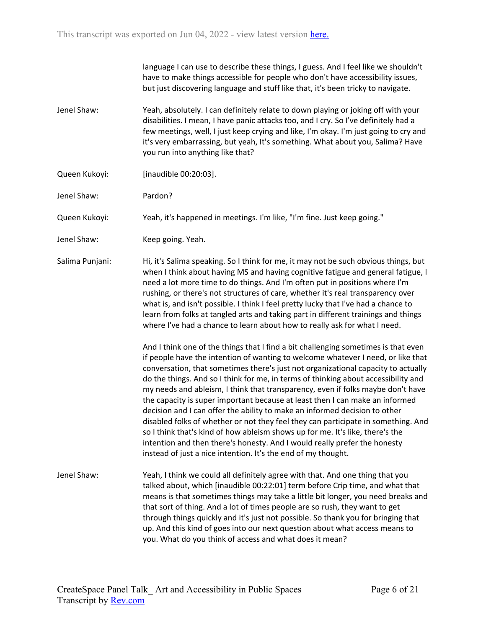|                 | language I can use to describe these things, I guess. And I feel like we shouldn't<br>have to make things accessible for people who don't have accessibility issues,<br>but just discovering language and stuff like that, it's been tricky to navigate.                                                                                                                                                                                                                                                                                                                                                                                                                                                                                                                                                                                                                                                               |
|-----------------|------------------------------------------------------------------------------------------------------------------------------------------------------------------------------------------------------------------------------------------------------------------------------------------------------------------------------------------------------------------------------------------------------------------------------------------------------------------------------------------------------------------------------------------------------------------------------------------------------------------------------------------------------------------------------------------------------------------------------------------------------------------------------------------------------------------------------------------------------------------------------------------------------------------------|
| Jenel Shaw:     | Yeah, absolutely. I can definitely relate to down playing or joking off with your<br>disabilities. I mean, I have panic attacks too, and I cry. So I've definitely had a<br>few meetings, well, I just keep crying and like, I'm okay. I'm just going to cry and<br>it's very embarrassing, but yeah, It's something. What about you, Salima? Have<br>you run into anything like that?                                                                                                                                                                                                                                                                                                                                                                                                                                                                                                                                 |
| Queen Kukoyi:   | [inaudible 00:20:03].                                                                                                                                                                                                                                                                                                                                                                                                                                                                                                                                                                                                                                                                                                                                                                                                                                                                                                  |
| Jenel Shaw:     | Pardon?                                                                                                                                                                                                                                                                                                                                                                                                                                                                                                                                                                                                                                                                                                                                                                                                                                                                                                                |
| Queen Kukoyi:   | Yeah, it's happened in meetings. I'm like, "I'm fine. Just keep going."                                                                                                                                                                                                                                                                                                                                                                                                                                                                                                                                                                                                                                                                                                                                                                                                                                                |
| Jenel Shaw:     | Keep going. Yeah.                                                                                                                                                                                                                                                                                                                                                                                                                                                                                                                                                                                                                                                                                                                                                                                                                                                                                                      |
| Salima Punjani: | Hi, it's Salima speaking. So I think for me, it may not be such obvious things, but<br>when I think about having MS and having cognitive fatigue and general fatigue, I<br>need a lot more time to do things. And I'm often put in positions where I'm<br>rushing, or there's not structures of care, whether it's real transparency over<br>what is, and isn't possible. I think I feel pretty lucky that I've had a chance to<br>learn from folks at tangled arts and taking part in different trainings and things<br>where I've had a chance to learn about how to really ask for what I need.                                                                                                                                                                                                                                                                                                                     |
|                 | And I think one of the things that I find a bit challenging sometimes is that even<br>if people have the intention of wanting to welcome whatever I need, or like that<br>conversation, that sometimes there's just not organizational capacity to actually<br>do the things. And so I think for me, in terms of thinking about accessibility and<br>my needs and ableism, I think that transparency, even if folks maybe don't have<br>the capacity is super important because at least then I can make an informed<br>decision and I can offer the ability to make an informed decision to other<br>disabled folks of whether or not they feel they can participate in something. And<br>so I think that's kind of how ableism shows up for me. It's like, there's the<br>intention and then there's honesty. And I would really prefer the honesty<br>instead of just a nice intention. It's the end of my thought. |
| Jenel Shaw:     | Yeah, I think we could all definitely agree with that. And one thing that you<br>talked about, which [inaudible 00:22:01] term before Crip time, and what that<br>means is that sometimes things may take a little bit longer, you need breaks and<br>that sort of thing. And a lot of times people are so rush, they want to get<br>through things quickly and it's just not possible. So thank you for bringing that<br>up. And this kind of goes into our next question about what access means to<br>you. What do you think of access and what does it mean?                                                                                                                                                                                                                                                                                                                                                       |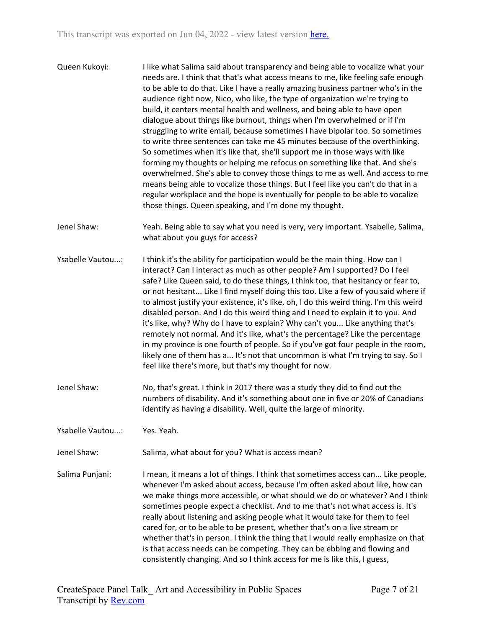- Queen Kukoyi: I like what Salima said about transparency and being able to vocalize what your needs are. I think that that's what access means to me, like feeling safe enough to be able to do that. Like I have a really amazing business partner who's in the audience right now, Nico, who like, the type of organization we're trying to build, it centers mental health and wellness, and being able to have open dialogue about things like burnout, things when I'm overwhelmed or if I'm struggling to write email, because sometimes I have bipolar too. So sometimes to write three sentences can take me 45 minutes because of the overthinking. So sometimes when it's like that, she'll support me in those ways with like forming my thoughts or helping me refocus on something like that. And she's overwhelmed. She's able to convey those things to me as well. And access to me means being able to vocalize those things. But I feel like you can't do that in a regular workplace and the hope is eventually for people to be able to vocalize those things. Queen speaking, and I'm done my thought.
- Jenel Shaw: Yeah. Being able to say what you need is very, very important. Ysabelle, Salima, what about you guys for access?
- Ysabelle Vautou...: I think it's the ability for participation would be the main thing. How can I interact? Can I interact as much as other people? Am I supported? Do I feel safe? Like Queen said, to do these things, I think too, that hesitancy or fear to, or not hesitant... Like I find myself doing this too. Like a few of you said where if to almost justify your existence, it's like, oh, I do this weird thing. I'm this weird disabled person. And I do this weird thing and I need to explain it to you. And it's like, why? Why do I have to explain? Why can't you... Like anything that's remotely not normal. And it's like, what's the percentage? Like the percentage in my province is one fourth of people. So if you've got four people in the room, likely one of them has a... It's not that uncommon is what I'm trying to say. So I feel like there's more, but that's my thought for now.
- Jenel Shaw: No, that's great. I think in 2017 there was a study they did to find out the numbers of disability. And it's something about one in five or 20% of Canadians identify as having a disability. Well, quite the large of minority.
- Ysabelle Vautou...: Yes. Yeah.

Jenel Shaw: Salima, what about for you? What is access mean?

Salima Punjani: I mean, it means a lot of things. I think that sometimes access can... Like people, whenever I'm asked about access, because I'm often asked about like, how can we make things more accessible, or what should we do or whatever? And I think sometimes people expect a checklist. And to me that's not what access is. It's really about listening and asking people what it would take for them to feel cared for, or to be able to be present, whether that's on a live stream or whether that's in person. I think the thing that I would really emphasize on that is that access needs can be competing. They can be ebbing and flowing and consistently changing. And so I think access for me is like this, I guess,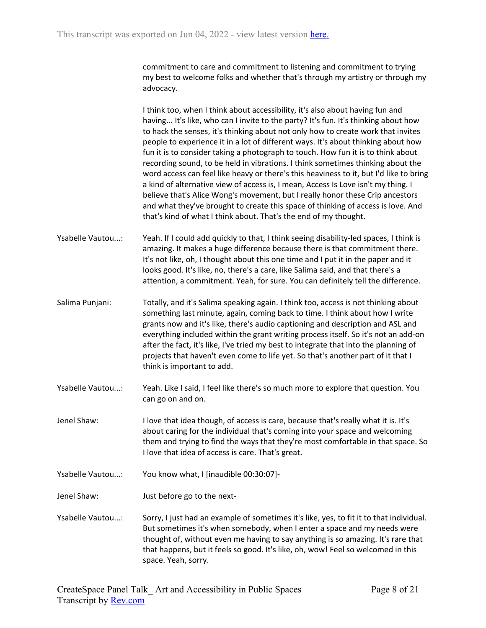commitment to care and commitment to listening and commitment to trying my best to welcome folks and whether that's through my artistry or through my advocacy.

I think too, when I think about accessibility, it's also about having fun and having... It's like, who can I invite to the party? It's fun. It's thinking about how to hack the senses, it's thinking about not only how to create work that invites people to experience it in a lot of different ways. It's about thinking about how fun it is to consider taking a photograph to touch. How fun it is to think about recording sound, to be held in vibrations. I think sometimes thinking about the word access can feel like heavy or there's this heaviness to it, but I'd like to bring a kind of alternative view of access is, I mean, Access Is Love isn't my thing. I believe that's Alice Wong's movement, but I really honor these Crip ancestors and what they've brought to create this space of thinking of access is love. And that's kind of what I think about. That's the end of my thought.

Ysabelle Vautou...: Yeah. If I could add quickly to that, I think seeing disability-led spaces, I think is amazing. It makes a huge difference because there is that commitment there. It's not like, oh, I thought about this one time and I put it in the paper and it looks good. It's like, no, there's a care, like Salima said, and that there's a attention, a commitment. Yeah, for sure. You can definitely tell the difference.

Salima Punjani: Totally, and it's Salima speaking again. I think too, access is not thinking about something last minute, again, coming back to time. I think about how I write grants now and it's like, there's audio captioning and description and ASL and everything included within the grant writing process itself. So it's not an add-on after the fact, it's like, I've tried my best to integrate that into the planning of projects that haven't even come to life yet. So that's another part of it that I think is important to add.

Ysabelle Vautou...: Yeah. Like I said, I feel like there's so much more to explore that question. You can go on and on.

Jenel Shaw: I love that idea though, of access is care, because that's really what it is. It's about caring for the individual that's coming into your space and welcoming them and trying to find the ways that they're most comfortable in that space. So I love that idea of access is care. That's great.

Ysabelle Vautou...: You know what, I [inaudible 00:30:07]-

Jenel Shaw: Just before go to the next-

Ysabelle Vautou...: Sorry, I just had an example of sometimes it's like, yes, to fit it to that individual. But sometimes it's when somebody, when I enter a space and my needs were thought of, without even me having to say anything is so amazing. It's rare that that happens, but it feels so good. It's like, oh, wow! Feel so welcomed in this space. Yeah, sorry.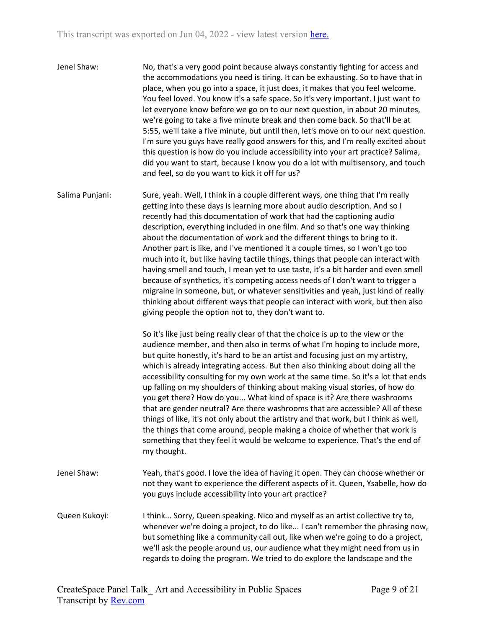- Jenel Shaw: No, that's a very good point because always constantly fighting for access and the accommodations you need is tiring. It can be exhausting. So to have that in place, when you go into a space, it just does, it makes that you feel welcome. You feel loved. You know it's a safe space. So it's very important. I just want to let everyone know before we go on to our next question, in about 20 minutes, we're going to take a five minute break and then come back. So that'll be at 5:55, we'll take a five minute, but until then, let's move on to our next question. I'm sure you guys have really good answers for this, and I'm really excited about this question is how do you include accessibility into your art practice? Salima, did you want to start, because I know you do a lot with multisensory, and touch and feel, so do you want to kick it off for us?
- Salima Punjani: Sure, yeah. Well, I think in a couple different ways, one thing that I'm really getting into these days is learning more about audio description. And so I recently had this documentation of work that had the captioning audio description, everything included in one film. And so that's one way thinking about the documentation of work and the different things to bring to it. Another part is like, and I've mentioned it a couple times, so I won't go too much into it, but like having tactile things, things that people can interact with having smell and touch, I mean yet to use taste, it's a bit harder and even smell because of synthetics, it's competing access needs of I don't want to trigger a migraine in someone, but, or whatever sensitivities and yeah, just kind of really thinking about different ways that people can interact with work, but then also giving people the option not to, they don't want to.

So it's like just being really clear of that the choice is up to the view or the audience member, and then also in terms of what I'm hoping to include more, but quite honestly, it's hard to be an artist and focusing just on my artistry, which is already integrating access. But then also thinking about doing all the accessibility consulting for my own work at the same time. So it's a lot that ends up falling on my shoulders of thinking about making visual stories, of how do you get there? How do you... What kind of space is it? Are there washrooms that are gender neutral? Are there washrooms that are accessible? All of these things of like, it's not only about the artistry and that work, but I think as well, the things that come around, people making a choice of whether that work is something that they feel it would be welcome to experience. That's the end of my thought.

- Jenel Shaw: Yeah, that's good. I love the idea of having it open. They can choose whether or not they want to experience the different aspects of it. Queen, Ysabelle, how do you guys include accessibility into your art practice?
- Queen Kukoyi: I think... Sorry, Queen speaking. Nico and myself as an artist collective try to, whenever we're doing a project, to do like... I can't remember the phrasing now, but something like a community call out, like when we're going to do a project, we'll ask the people around us, our audience what they might need from us in regards to doing the program. We tried to do explore the landscape and the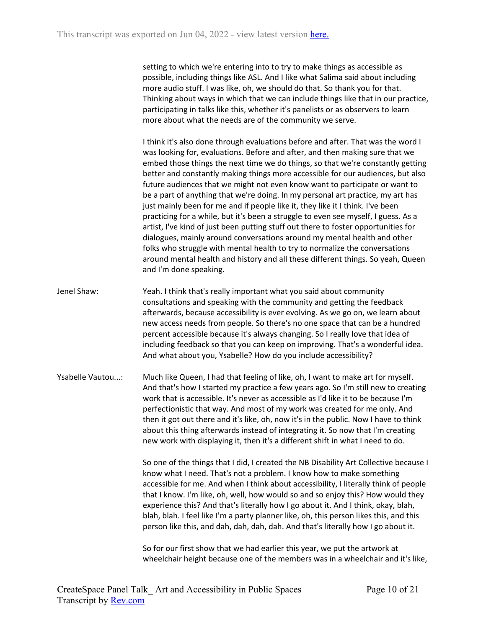setting to which we're entering into to try to make things as accessible as possible, including things like ASL. And I like what Salima said about including more audio stuff. I was like, oh, we should do that. So thank you for that. Thinking about ways in which that we can include things like that in our practice, participating in talks like this, whether it's panelists or as observers to learn more about what the needs are of the community we serve.

I think it's also done through evaluations before and after. That was the word I was looking for, evaluations. Before and after, and then making sure that we embed those things the next time we do things, so that we're constantly getting better and constantly making things more accessible for our audiences, but also future audiences that we might not even know want to participate or want to be a part of anything that we're doing. In my personal art practice, my art has just mainly been for me and if people like it, they like it I think. I've been practicing for a while, but it's been a struggle to even see myself, I guess. As a artist, I've kind of just been putting stuff out there to foster opportunities for dialogues, mainly around conversations around my mental health and other folks who struggle with mental health to try to normalize the conversations around mental health and history and all these different things. So yeah, Queen and I'm done speaking.

- Jenel Shaw: Yeah. I think that's really important what you said about community consultations and speaking with the community and getting the feedback afterwards, because accessibility is ever evolving. As we go on, we learn about new access needs from people. So there's no one space that can be a hundred percent accessible because it's always changing. So I really love that idea of including feedback so that you can keep on improving. That's a wonderful idea. And what about you, Ysabelle? How do you include accessibility?
- Ysabelle Vautou...: Much like Queen, I had that feeling of like, oh, I want to make art for myself. And that's how I started my practice a few years ago. So I'm still new to creating work that is accessible. It's never as accessible as I'd like it to be because I'm perfectionistic that way. And most of my work was created for me only. And then it got out there and it's like, oh, now it's in the public. Now I have to think about this thing afterwards instead of integrating it. So now that I'm creating new work with displaying it, then it's a different shift in what I need to do.

So one of the things that I did, I created the NB Disability Art Collective because I know what I need. That's not a problem. I know how to make something accessible for me. And when I think about accessibility, I literally think of people that I know. I'm like, oh, well, how would so and so enjoy this? How would they experience this? And that's literally how I go about it. And I think, okay, blah, blah, blah. I feel like I'm a party planner like, oh, this person likes this, and this person like this, and dah, dah, dah, dah. And that's literally how I go about it.

So for our first show that we had earlier this year, we put the artwork at wheelchair height because one of the members was in a wheelchair and it's like,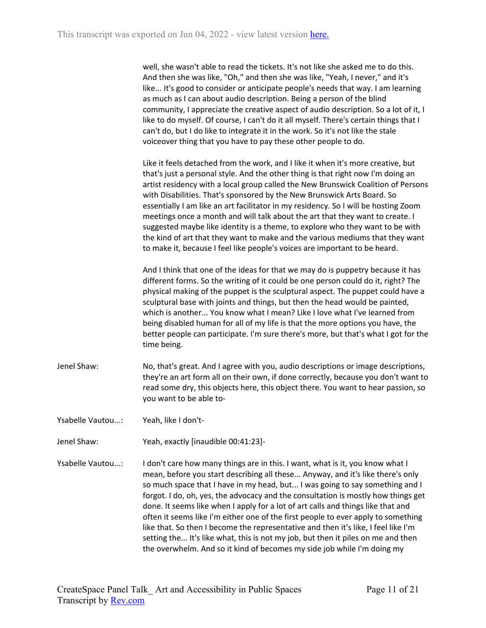| well, she wasn't able to read the tickets. It's not like she asked me to do this.     |
|---------------------------------------------------------------------------------------|
| And then she was like, "Oh," and then she was like, "Yeah, I never," and it's         |
| like It's good to consider or anticipate people's needs that way. I am learning       |
| as much as I can about audio description. Being a person of the blind                 |
| community, I appreciate the creative aspect of audio description. So a lot of it, I   |
| like to do myself. Of course, I can't do it all myself. There's certain things that I |
| can't do, but I do like to integrate it in the work. So it's not like the stale       |
| voiceover thing that you have to pay these other people to do.                        |

Like it feels detached from the work, and I like it when it's more creative, but that's just a personal style. And the other thing is that right now I'm doing an artist residency with a local group called the New Brunswick Coalition of Persons with Disabilities. That's sponsored by the New Brunswick Arts Board. So essentially I am like an art facilitator in my residency. So I will be hosting Zoom meetings once a month and will talk about the art that they want to create. I suggested maybe like identity is a theme, to explore who they want to be with the kind of art that they want to make and the various mediums that they want to make it, because I feel like people's voices are important to be heard.

And I think that one of the ideas for that we may do is puppetry because it has different forms. So the writing of it could be one person could do it, right? The physical making of the puppet is the sculptural aspect. The puppet could have a sculptural base with joints and things, but then the head would be painted, which is another... You know what I mean? Like I love what I've learned from being disabled human for all of my life is that the more options you have, the better people can participate. I'm sure there's more, but that's what I got for the time being.

- Jenel Shaw: No, that's great. And I agree with you, audio descriptions or image descriptions, they're an art form all on their own, if done correctly, because you don't want to read some dry, this objects here, this object there. You want to hear passion, so you want to be able to-
- Ysabelle Vautou...: Yeah, like I don't-

Jenel Shaw: Yeah, exactly [inaudible 00:41:23]-

Ysabelle Vautou...: I don't care how many things are in this. I want, what is it, you know what I mean, before you start describing all these... Anyway, and it's like there's only so much space that I have in my head, but... I was going to say something and I forgot. I do, oh, yes, the advocacy and the consultation is mostly how things get done. It seems like when I apply for a lot of art calls and things like that and often it seems like I'm either one of the first people to ever apply to something like that. So then I become the representative and then it's like, I feel like I'm setting the... It's like what, this is not my job, but then it piles on me and then the overwhelm. And so it kind of becomes my side job while I'm doing my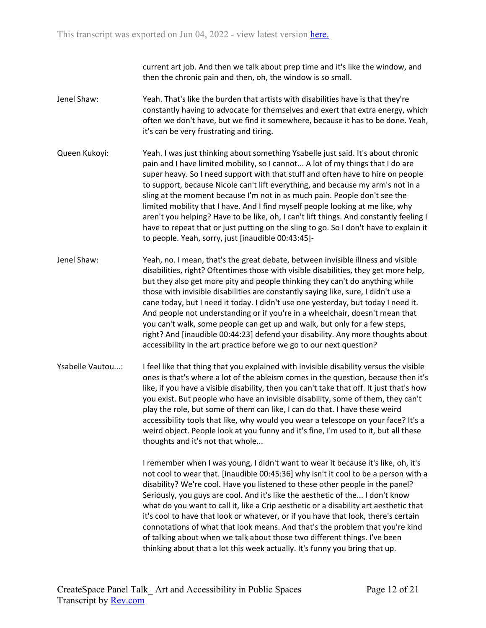current art job. And then we talk about prep time and it's like the window, and then the chronic pain and then, oh, the window is so small.

- Jenel Shaw: Yeah. That's like the burden that artists with disabilities have is that they're constantly having to advocate for themselves and exert that extra energy, which often we don't have, but we find it somewhere, because it has to be done. Yeah, it's can be very frustrating and tiring.
- Queen Kukoyi: Yeah. I was just thinking about something Ysabelle just said. It's about chronic pain and I have limited mobility, so I cannot... A lot of my things that I do are super heavy. So I need support with that stuff and often have to hire on people to support, because Nicole can't lift everything, and because my arm's not in a sling at the moment because I'm not in as much pain. People don't see the limited mobility that I have. And I find myself people looking at me like, why aren't you helping? Have to be like, oh, I can't lift things. And constantly feeling I have to repeat that or just putting on the sling to go. So I don't have to explain it to people. Yeah, sorry, just [inaudible 00:43:45]-
- Jenel Shaw: Yeah, no. I mean, that's the great debate, between invisible illness and visible disabilities, right? Oftentimes those with visible disabilities, they get more help, but they also get more pity and people thinking they can't do anything while those with invisible disabilities are constantly saying like, sure, I didn't use a cane today, but I need it today. I didn't use one yesterday, but today I need it. And people not understanding or if you're in a wheelchair, doesn't mean that you can't walk, some people can get up and walk, but only for a few steps, right? And [inaudible 00:44:23] defend your disability. Any more thoughts about accessibility in the art practice before we go to our next question?
- Ysabelle Vautou...: I feel like that thing that you explained with invisible disability versus the visible ones is that's where a lot of the ableism comes in the question, because then it's like, if you have a visible disability, then you can't take that off. It just that's how you exist. But people who have an invisible disability, some of them, they can't play the role, but some of them can like, I can do that. I have these weird accessibility tools that like, why would you wear a telescope on your face? It's a weird object. People look at you funny and it's fine, I'm used to it, but all these thoughts and it's not that whole...

I remember when I was young, I didn't want to wear it because it's like, oh, it's not cool to wear that. [inaudible 00:45:36] why isn't it cool to be a person with a disability? We're cool. Have you listened to these other people in the panel? Seriously, you guys are cool. And it's like the aesthetic of the... I don't know what do you want to call it, like a Crip aesthetic or a disability art aesthetic that it's cool to have that look or whatever, or if you have that look, there's certain connotations of what that look means. And that's the problem that you're kind of talking about when we talk about those two different things. I've been thinking about that a lot this week actually. It's funny you bring that up.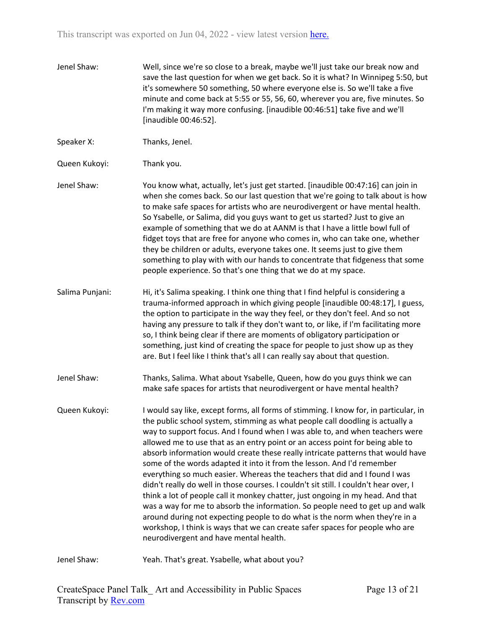Jenel Shaw: Well, since we're so close to a break, maybe we'll just take our break now and save the last question for when we get back. So it is what? In Winnipeg 5:50, but it's somewhere 50 something, 50 where everyone else is. So we'll take a five minute and come back at 5:55 or 55, 56, 60, wherever you are, five minutes. So I'm making it way more confusing. [inaudible 00:46:51] take five and we'll [inaudible 00:46:52].

Speaker X: Thanks, Jenel.

Queen Kukoyi: Thank you.

- Jenel Shaw: You know what, actually, let's just get started. [inaudible 00:47:16] can join in when she comes back. So our last question that we're going to talk about is how to make safe spaces for artists who are neurodivergent or have mental health. So Ysabelle, or Salima, did you guys want to get us started? Just to give an example of something that we do at AANM is that I have a little bowl full of fidget toys that are free for anyone who comes in, who can take one, whether they be children or adults, everyone takes one. It seems just to give them something to play with with our hands to concentrate that fidgeness that some people experience. So that's one thing that we do at my space.
- Salima Punjani: Hi, it's Salima speaking. I think one thing that I find helpful is considering a trauma-informed approach in which giving people [inaudible 00:48:17], I guess, the option to participate in the way they feel, or they don't feel. And so not having any pressure to talk if they don't want to, or like, if I'm facilitating more so, I think being clear if there are moments of obligatory participation or something, just kind of creating the space for people to just show up as they are. But I feel like I think that's all I can really say about that question.
- Jenel Shaw: Thanks, Salima. What about Ysabelle, Queen, how do you guys think we can make safe spaces for artists that neurodivergent or have mental health?
- Queen Kukoyi: I would say like, except forms, all forms of stimming. I know for, in particular, in the public school system, stimming as what people call doodling is actually a way to support focus. And I found when I was able to, and when teachers were allowed me to use that as an entry point or an access point for being able to absorb information would create these really intricate patterns that would have some of the words adapted it into it from the lesson. And I'd remember everything so much easier. Whereas the teachers that did and I found I was didn't really do well in those courses. I couldn't sit still. I couldn't hear over, I think a lot of people call it monkey chatter, just ongoing in my head. And that was a way for me to absorb the information. So people need to get up and walk around during not expecting people to do what is the norm when they're in a workshop, I think is ways that we can create safer spaces for people who are neurodivergent and have mental health.

Jenel Shaw: Yeah. That's great. Ysabelle, what about you?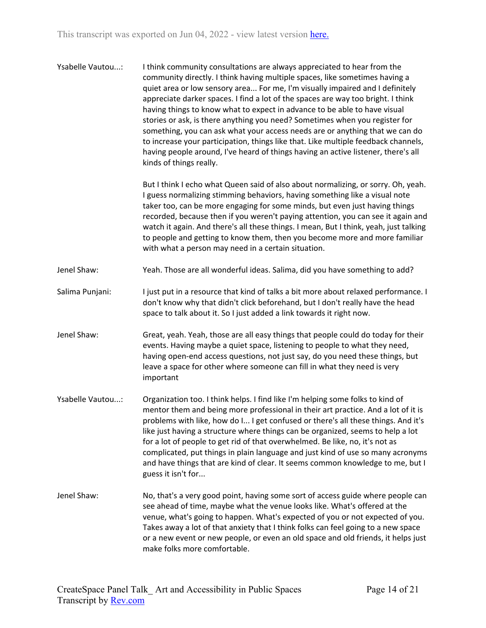Ysabelle Vautou...: I think community consultations are always appreciated to hear from the community directly. I think having multiple spaces, like sometimes having a quiet area or low sensory area... For me, I'm visually impaired and I definitely appreciate darker spaces. I find a lot of the spaces are way too bright. I think having things to know what to expect in advance to be able to have visual stories or ask, is there anything you need? Sometimes when you register for something, you can ask what your access needs are or anything that we can do to increase your participation, things like that. Like multiple feedback channels, having people around, I've heard of things having an active listener, there's all kinds of things really.

> But I think I echo what Queen said of also about normalizing, or sorry. Oh, yeah. I guess normalizing stimming behaviors, having something like a visual note taker too, can be more engaging for some minds, but even just having things recorded, because then if you weren't paying attention, you can see it again and watch it again. And there's all these things. I mean, But I think, yeah, just talking to people and getting to know them, then you become more and more familiar with what a person may need in a certain situation.

- Jenel Shaw: Yeah. Those are all wonderful ideas. Salima, did you have something to add?
- Salima Punjani: I just put in a resource that kind of talks a bit more about relaxed performance. I don't know why that didn't click beforehand, but I don't really have the head space to talk about it. So I just added a link towards it right now.
- Jenel Shaw: Great, yeah. Yeah, those are all easy things that people could do today for their events. Having maybe a quiet space, listening to people to what they need, having open-end access questions, not just say, do you need these things, but leave a space for other where someone can fill in what they need is very important
- Ysabelle Vautou...: Organization too. I think helps. I find like I'm helping some folks to kind of mentor them and being more professional in their art practice. And a lot of it is problems with like, how do I... I get confused or there's all these things. And it's like just having a structure where things can be organized, seems to help a lot for a lot of people to get rid of that overwhelmed. Be like, no, it's not as complicated, put things in plain language and just kind of use so many acronyms and have things that are kind of clear. It seems common knowledge to me, but I guess it isn't for...
- Jenel Shaw: No, that's a very good point, having some sort of access guide where people can see ahead of time, maybe what the venue looks like. What's offered at the venue, what's going to happen. What's expected of you or not expected of you. Takes away a lot of that anxiety that I think folks can feel going to a new space or a new event or new people, or even an old space and old friends, it helps just make folks more comfortable.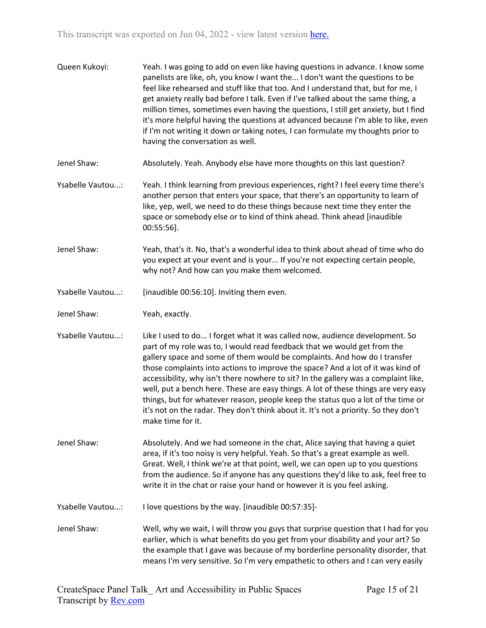| Queen Kukoyi:    | Yeah. I was going to add on even like having questions in advance. I know some<br>panelists are like, oh, you know I want the I don't want the questions to be<br>feel like rehearsed and stuff like that too. And I understand that, but for me, I<br>get anxiety really bad before I talk. Even if I've talked about the same thing, a<br>million times, sometimes even having the questions, I still get anxiety, but I find<br>it's more helpful having the questions at advanced because I'm able to like, even<br>if I'm not writing it down or taking notes, I can formulate my thoughts prior to<br>having the conversation as well.                                                          |
|------------------|-------------------------------------------------------------------------------------------------------------------------------------------------------------------------------------------------------------------------------------------------------------------------------------------------------------------------------------------------------------------------------------------------------------------------------------------------------------------------------------------------------------------------------------------------------------------------------------------------------------------------------------------------------------------------------------------------------|
| Jenel Shaw:      | Absolutely. Yeah. Anybody else have more thoughts on this last question?                                                                                                                                                                                                                                                                                                                                                                                                                                                                                                                                                                                                                              |
| Ysabelle Vautou: | Yeah. I think learning from previous experiences, right? I feel every time there's<br>another person that enters your space, that there's an opportunity to learn of<br>like, yep, well, we need to do these things because next time they enter the<br>space or somebody else or to kind of think ahead. Think ahead [inaudible<br>$00:55:56$ ].                                                                                                                                                                                                                                                                                                                                                     |
| Jenel Shaw:      | Yeah, that's it. No, that's a wonderful idea to think about ahead of time who do<br>you expect at your event and is your If you're not expecting certain people,<br>why not? And how can you make them welcomed.                                                                                                                                                                                                                                                                                                                                                                                                                                                                                      |
| Ysabelle Vautou: | [inaudible 00:56:10]. Inviting them even.                                                                                                                                                                                                                                                                                                                                                                                                                                                                                                                                                                                                                                                             |
| Jenel Shaw:      | Yeah, exactly.                                                                                                                                                                                                                                                                                                                                                                                                                                                                                                                                                                                                                                                                                        |
| Ysabelle Vautou: | Like I used to do I forget what it was called now, audience development. So<br>part of my role was to, I would read feedback that we would get from the<br>gallery space and some of them would be complaints. And how do I transfer<br>those complaints into actions to improve the space? And a lot of it was kind of<br>accessibility, why isn't there nowhere to sit? In the gallery was a complaint like,<br>well, put a bench here. These are easy things. A lot of these things are very easy<br>things, but for whatever reason, people keep the status quo a lot of the time or<br>it's not on the radar. They don't think about it. It's not a priority. So they don't<br>make time for it. |
| Jenel Shaw:      | Absolutely. And we had someone in the chat, Alice saying that having a quiet<br>area, if it's too noisy is very helpful. Yeah. So that's a great example as well.<br>Great. Well, I think we're at that point, well, we can open up to you questions<br>from the audience. So if anyone has any questions they'd like to ask, feel free to<br>write it in the chat or raise your hand or however it is you feel asking.                                                                                                                                                                                                                                                                               |
| Ysabelle Vautou: | I love questions by the way. [inaudible 00:57:35]-                                                                                                                                                                                                                                                                                                                                                                                                                                                                                                                                                                                                                                                    |
| Jenel Shaw:      | Well, why we wait, I will throw you guys that surprise question that I had for you<br>earlier, which is what benefits do you get from your disability and your art? So<br>the example that I gave was because of my borderline personality disorder, that<br>means I'm very sensitive. So I'm very empathetic to others and I can very easily                                                                                                                                                                                                                                                                                                                                                         |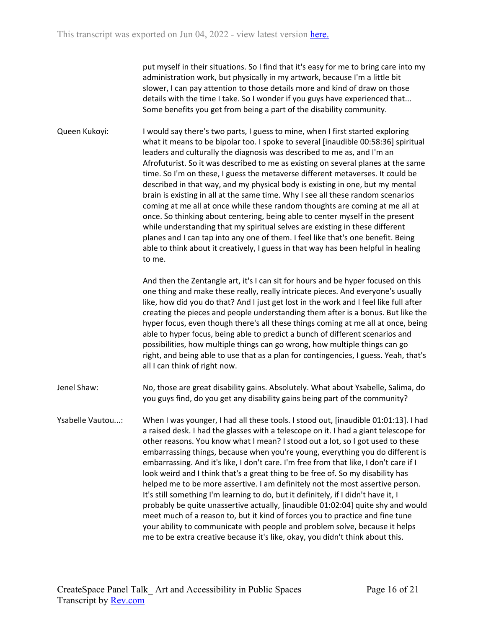put myself in their situations. So I find that it's easy for me to bring care into my administration work, but physically in my artwork, because I'm a little bit slower, I can pay attention to those details more and kind of draw on those details with the time I take. So I wonder if you guys have experienced that... Some benefits you get from being a part of the disability community.

Queen Kukoyi: I would say there's two parts, I guess to mine, when I first started exploring what it means to be bipolar too. I spoke to several [inaudible 00:58:36] spiritual leaders and culturally the diagnosis was described to me as, and I'm an Afrofuturist. So it was described to me as existing on several planes at the same time. So I'm on these, I guess the metaverse different metaverses. It could be described in that way, and my physical body is existing in one, but my mental brain is existing in all at the same time. Why I see all these random scenarios coming at me all at once while these random thoughts are coming at me all at once. So thinking about centering, being able to center myself in the present while understanding that my spiritual selves are existing in these different planes and I can tap into any one of them. I feel like that's one benefit. Being able to think about it creatively, I guess in that way has been helpful in healing to me.

> And then the Zentangle art, it's I can sit for hours and be hyper focused on this one thing and make these really, really intricate pieces. And everyone's usually like, how did you do that? And I just get lost in the work and I feel like full after creating the pieces and people understanding them after is a bonus. But like the hyper focus, even though there's all these things coming at me all at once, being able to hyper focus, being able to predict a bunch of different scenarios and possibilities, how multiple things can go wrong, how multiple things can go right, and being able to use that as a plan for contingencies, I guess. Yeah, that's all I can think of right now.

- Jenel Shaw: No, those are great disability gains. Absolutely. What about Ysabelle, Salima, do you guys find, do you get any disability gains being part of the community?
- Ysabelle Vautou...: When I was younger, I had all these tools. I stood out, [inaudible 01:01:13]. I had a raised desk. I had the glasses with a telescope on it. I had a giant telescope for other reasons. You know what I mean? I stood out a lot, so I got used to these embarrassing things, because when you're young, everything you do different is embarrassing. And it's like, I don't care. I'm free from that like, I don't care if I look weird and I think that's a great thing to be free of. So my disability has helped me to be more assertive. I am definitely not the most assertive person. It's still something I'm learning to do, but it definitely, if I didn't have it, I probably be quite unassertive actually, [inaudible 01:02:04] quite shy and would meet much of a reason to, but it kind of forces you to practice and fine tune your ability to communicate with people and problem solve, because it helps me to be extra creative because it's like, okay, you didn't think about this.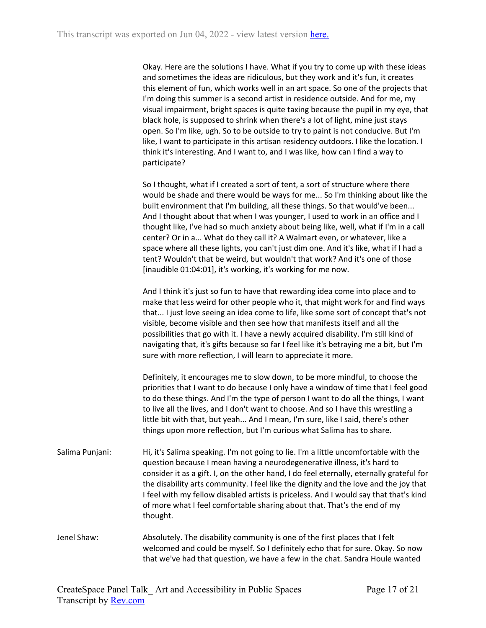Okay. Here are the solutions I have. What if you try to come up with these ideas and sometimes the ideas are ridiculous, but they work and it's fun, it creates this element of fun, which works well in an art space. So one of the projects that I'm doing this summer is a second artist in residence outside. And for me, my visual impairment, bright spaces is quite taxing because the pupil in my eye, that black hole, is supposed to shrink when there's a lot of light, mine just stays open. So I'm like, ugh. So to be outside to try to paint is not conducive. But I'm like, I want to participate in this artisan residency outdoors. I like the location. I think it's interesting. And I want to, and I was like, how can I find a way to participate?

So I thought, what if I created a sort of tent, a sort of structure where there would be shade and there would be ways for me... So I'm thinking about like the built environment that I'm building, all these things. So that would've been... And I thought about that when I was younger, I used to work in an office and I thought like, I've had so much anxiety about being like, well, what if I'm in a call center? Or in a... What do they call it? A Walmart even, or whatever, like a space where all these lights, you can't just dim one. And it's like, what if I had a tent? Wouldn't that be weird, but wouldn't that work? And it's one of those [inaudible 01:04:01], it's working, it's working for me now.

And I think it's just so fun to have that rewarding idea come into place and to make that less weird for other people who it, that might work for and find ways that... I just love seeing an idea come to life, like some sort of concept that's not visible, become visible and then see how that manifests itself and all the possibilities that go with it. I have a newly acquired disability. I'm still kind of navigating that, it's gifts because so far I feel like it's betraying me a bit, but I'm sure with more reflection, I will learn to appreciate it more.

Definitely, it encourages me to slow down, to be more mindful, to choose the priorities that I want to do because I only have a window of time that I feel good to do these things. And I'm the type of person I want to do all the things, I want to live all the lives, and I don't want to choose. And so I have this wrestling a little bit with that, but yeah... And I mean, I'm sure, like I said, there's other things upon more reflection, but I'm curious what Salima has to share.

- Salima Punjani: Hi, it's Salima speaking. I'm not going to lie. I'm a little uncomfortable with the question because I mean having a neurodegenerative illness, it's hard to consider it as a gift. I, on the other hand, I do feel eternally, eternally grateful for the disability arts community. I feel like the dignity and the love and the joy that I feel with my fellow disabled artists is priceless. And I would say that that's kind of more what I feel comfortable sharing about that. That's the end of my thought.
- Jenel Shaw: Absolutely. The disability community is one of the first places that I felt welcomed and could be myself. So I definitely echo that for sure. Okay. So now that we've had that question, we have a few in the chat. Sandra Houle wanted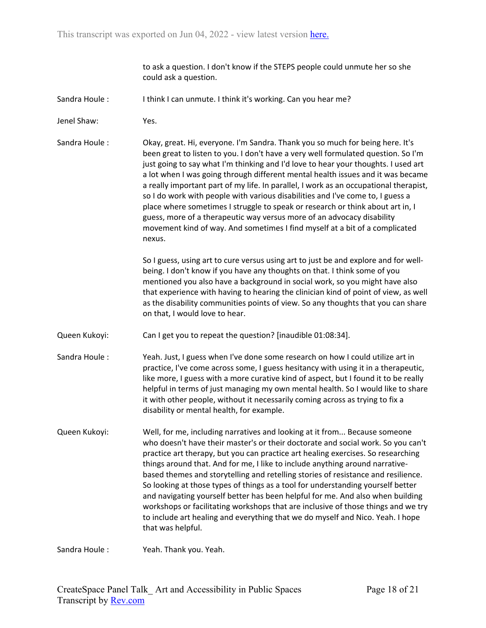to ask a question. I don't know if the STEPS people could unmute her so she could ask a question.

- Sandra Houle : I think I can unmute. I think it's working. Can you hear me?
- Jenel Shaw: Yes.

Sandra Houle : Okay, great. Hi, everyone. I'm Sandra. Thank you so much for being here. It's been great to listen to you. I don't have a very well formulated question. So I'm just going to say what I'm thinking and I'd love to hear your thoughts. I used art a lot when I was going through different mental health issues and it was became a really important part of my life. In parallel, I work as an occupational therapist, so I do work with people with various disabilities and I've come to, I guess a place where sometimes I struggle to speak or research or think about art in, I guess, more of a therapeutic way versus more of an advocacy disability movement kind of way. And sometimes I find myself at a bit of a complicated nexus.

> So I guess, using art to cure versus using art to just be and explore and for wellbeing. I don't know if you have any thoughts on that. I think some of you mentioned you also have a background in social work, so you might have also that experience with having to hearing the clinician kind of point of view, as well as the disability communities points of view. So any thoughts that you can share on that, I would love to hear.

- Queen Kukoyi: Can I get you to repeat the question? [inaudible 01:08:34].
- Sandra Houle : Yeah. Just, I guess when I've done some research on how I could utilize art in practice, I've come across some, I guess hesitancy with using it in a therapeutic, like more, I guess with a more curative kind of aspect, but I found it to be really helpful in terms of just managing my own mental health. So I would like to share it with other people, without it necessarily coming across as trying to fix a disability or mental health, for example.
- Queen Kukoyi: Well, for me, including narratives and looking at it from... Because someone who doesn't have their master's or their doctorate and social work. So you can't practice art therapy, but you can practice art healing exercises. So researching things around that. And for me, I like to include anything around narrativebased themes and storytelling and retelling stories of resistance and resilience. So looking at those types of things as a tool for understanding yourself better and navigating yourself better has been helpful for me. And also when building workshops or facilitating workshops that are inclusive of those things and we try to include art healing and everything that we do myself and Nico. Yeah. I hope that was helpful.

Sandra Houle : Yeah. Thank you. Yeah.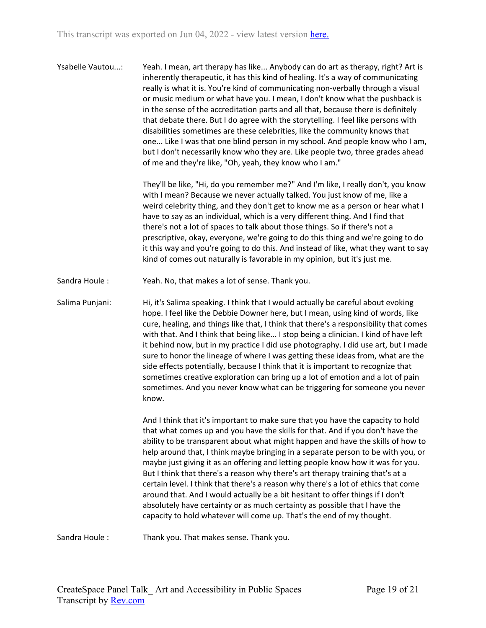Ysabelle Vautou...: Yeah. I mean, art therapy has like... Anybody can do art as therapy, right? Art is inherently therapeutic, it has this kind of healing. It's a way of communicating really is what it is. You're kind of communicating non-verbally through a visual or music medium or what have you. I mean, I don't know what the pushback is in the sense of the accreditation parts and all that, because there is definitely that debate there. But I do agree with the storytelling. I feel like persons with disabilities sometimes are these celebrities, like the community knows that one... Like I was that one blind person in my school. And people know who I am, but I don't necessarily know who they are. Like people two, three grades ahead of me and they're like, "Oh, yeah, they know who I am."

> They'll be like, "Hi, do you remember me?" And I'm like, I really don't, you know with I mean? Because we never actually talked. You just know of me, like a weird celebrity thing, and they don't get to know me as a person or hear what I have to say as an individual, which is a very different thing. And I find that there's not a lot of spaces to talk about those things. So if there's not a prescriptive, okay, everyone, we're going to do this thing and we're going to do it this way and you're going to do this. And instead of like, what they want to say kind of comes out naturally is favorable in my opinion, but it's just me.

Sandra Houle : Yeah. No, that makes a lot of sense. Thank you.

Salima Punjani: Hi, it's Salima speaking. I think that I would actually be careful about evoking hope. I feel like the Debbie Downer here, but I mean, using kind of words, like cure, healing, and things like that, I think that there's a responsibility that comes with that. And I think that being like... I stop being a clinician. I kind of have left it behind now, but in my practice I did use photography. I did use art, but I made sure to honor the lineage of where I was getting these ideas from, what are the side effects potentially, because I think that it is important to recognize that sometimes creative exploration can bring up a lot of emotion and a lot of pain sometimes. And you never know what can be triggering for someone you never know.

> And I think that it's important to make sure that you have the capacity to hold that what comes up and you have the skills for that. And if you don't have the ability to be transparent about what might happen and have the skills of how to help around that, I think maybe bringing in a separate person to be with you, or maybe just giving it as an offering and letting people know how it was for you. But I think that there's a reason why there's art therapy training that's at a certain level. I think that there's a reason why there's a lot of ethics that come around that. And I would actually be a bit hesitant to offer things if I don't absolutely have certainty or as much certainty as possible that I have the capacity to hold whatever will come up. That's the end of my thought.

Sandra Houle : Thank you. That makes sense. Thank you.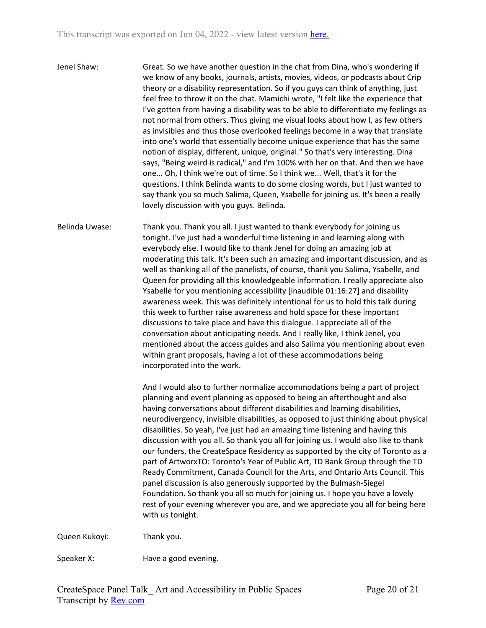Jenel Shaw: Great. So we have another question in the chat from Dina, who's wondering if we know of any books, journals, artists, movies, videos, or podcasts about Crip theory or a disability representation. So if you guys can think of anything, just feel free to throw it on the chat. Mamichi wrote, "I felt like the experience that I've gotten from having a disability was to be able to differentiate my feelings as not normal from others. Thus giving me visual looks about how I, as few others as invisibles and thus those overlooked feelings become in a way that translate into one's world that essentially become unique experience that has the same notion of display, different, unique, original." So that's very interesting. Dina says, "Being weird is radical," and I'm 100% with her on that. And then we have one... Oh, I think we're out of time. So I think we... Well, that's it for the questions. I think Belinda wants to do some closing words, but I just wanted to say thank you so much Salima, Queen, Ysabelle for joining us. It's been a really lovely discussion with you guys. Belinda.

Belinda Uwase: Thank you. Thank you all. I just wanted to thank everybody for joining us tonight. I've just had a wonderful time listening in and learning along with everybody else. I would like to thank Jenel for doing an amazing job at moderating this talk. It's been such an amazing and important discussion, and as well as thanking all of the panelists, of course, thank you Salima, Ysabelle, and Queen for providing all this knowledgeable information. I really appreciate also Ysabelle for you mentioning accessibility [inaudible 01:16:27] and disability awareness week. This was definitely intentional for us to hold this talk during this week to further raise awareness and hold space for these important discussions to take place and have this dialogue. I appreciate all of the conversation about anticipating needs. And I really like, I think Jenel, you mentioned about the access guides and also Salima you mentioning about even within grant proposals, having a lot of these accommodations being incorporated into the work.

> And I would also to further normalize accommodations being a part of project planning and event planning as opposed to being an afterthought and also having conversations about different disabilities and learning disabilities, neurodivergency, invisible disabilities, as opposed to just thinking about physical disabilities. So yeah, I've just had an amazing time listening and having this discussion with you all. So thank you all for joining us. I would also like to thank our funders, the CreateSpace Residency as supported by the city of Toronto as a part of ArtworxTO: Toronto's Year of Public Art, TD Bank Group through the TD Ready Commitment, Canada Council for the Arts, and Ontario Arts Council. This panel discussion is also generously supported by the Bulmash-Siegel Foundation. So thank you all so much for joining us. I hope you have a lovely rest of your evening wherever you are, and we appreciate you all for being here with us tonight.

Queen Kukoyi: Thank you.

Speaker X: Have a good evening.